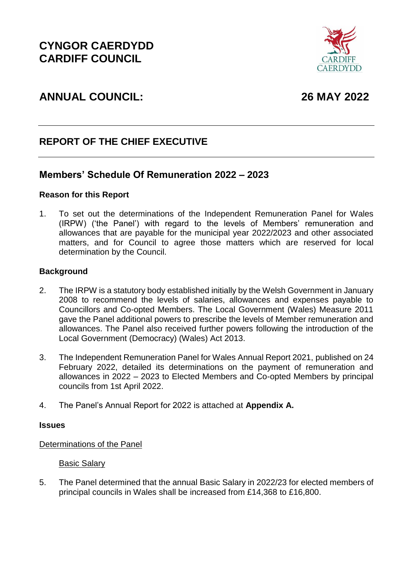

# **ANNUAL COUNCIL: 26 MAY 2022**

# **REPORT OF THE CHIEF EXECUTIVE**

# **Members' Schedule Of Remuneration 2022 – 2023**

## **Reason for this Report**

1. To set out the determinations of the Independent Remuneration Panel for Wales (IRPW) ('the Panel') with regard to the levels of Members' remuneration and allowances that are payable for the municipal year 2022/2023 and other associated matters, and for Council to agree those matters which are reserved for local determination by the Council.

#### **Background**

- 2. The IRPW is a statutory body established initially by the Welsh Government in January 2008 to recommend the levels of salaries, allowances and expenses payable to Councillors and Co-opted Members. The Local Government (Wales) Measure 2011 gave the Panel additional powers to prescribe the levels of Member remuneration and allowances. The Panel also received further powers following the introduction of the Local Government (Democracy) (Wales) Act 2013.
- 3. The Independent Remuneration Panel for Wales Annual Report 2021, published on 24 February 2022, detailed its determinations on the payment of remuneration and allowances in 2022 – 2023 to Elected Members and Co-opted Members by principal councils from 1st April 2022.
- 4. The Panel's Annual Report for 2022 is attached at **Appendix A.**

#### **Issues**

#### Determinations of the Panel

#### Basic Salary

5. The Panel determined that the annual Basic Salary in 2022/23 for elected members of principal councils in Wales shall be increased from £14,368 to £16,800.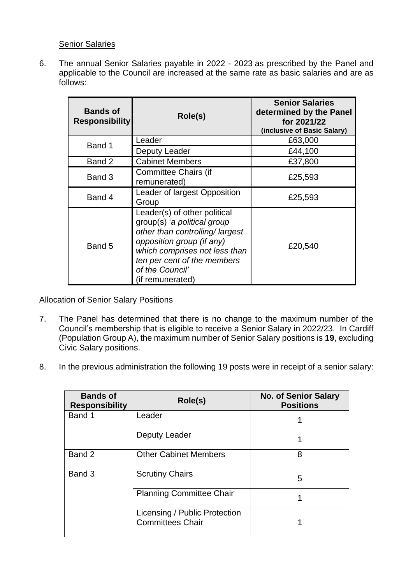## Senior Salaries

6. The annual Senior Salaries payable in 2022 - 2023 as prescribed by the Panel and applicable to the Council are increased at the same rate as basic salaries and are as follows:

| <b>Bands of</b><br><b>Responsibility</b> | Role(s)                                                                                                                                                                                                                           | <b>Senior Salaries</b><br>determined by the Panel<br>for 2021/22<br>(inclusive of Basic Salary) |
|------------------------------------------|-----------------------------------------------------------------------------------------------------------------------------------------------------------------------------------------------------------------------------------|-------------------------------------------------------------------------------------------------|
| Band 1                                   | Leader                                                                                                                                                                                                                            | £63,000                                                                                         |
|                                          | Deputy Leader                                                                                                                                                                                                                     | £44,100                                                                                         |
| Band 2                                   | <b>Cabinet Members</b>                                                                                                                                                                                                            | £37,800                                                                                         |
| Band 3                                   | Committee Chairs (if<br>remunerated)                                                                                                                                                                                              | £25,593                                                                                         |
| Band 4                                   | Leader of largest Opposition<br>Group                                                                                                                                                                                             | £25,593                                                                                         |
| Band 5                                   | Leader(s) of other political<br>group(s) 'a political group<br>other than controlling/largest<br>opposition group (if any)<br>which comprises not less than<br>ten per cent of the members<br>of the Council'<br>(if remunerated) | £20,540                                                                                         |

#### Allocation of Senior Salary Positions

- 7. The Panel has determined that there is no change to the maximum number of the Council's membership that is eligible to receive a Senior Salary in 2022/23. In Cardiff (Population Group A), the maximum number of Senior Salary positions is **19**, excluding Civic Salary positions.
- 8. In the previous administration the following 19 posts were in receipt of a senior salary:

| <b>Bands of</b><br><b>Responsibility</b> | Role(s)                                                  | <b>No. of Senior Salary</b><br><b>Positions</b> |
|------------------------------------------|----------------------------------------------------------|-------------------------------------------------|
| Band 1                                   | Leader                                                   |                                                 |
|                                          | Deputy Leader                                            |                                                 |
| Band 2                                   | <b>Other Cabinet Members</b>                             | 8                                               |
| Band 3                                   | <b>Scrutiny Chairs</b>                                   | 5                                               |
|                                          | <b>Planning Committee Chair</b>                          |                                                 |
|                                          | Licensing / Public Protection<br><b>Committees Chair</b> |                                                 |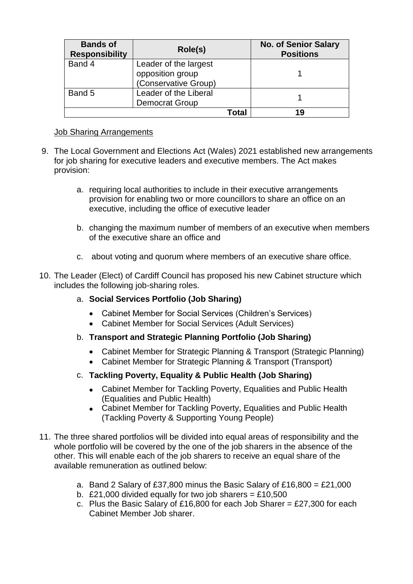| <b>Bands of</b><br><b>Responsibility</b> | Role(s)               |       | <b>No. of Senior Salary</b><br><b>Positions</b> |
|------------------------------------------|-----------------------|-------|-------------------------------------------------|
| Band 4                                   | Leader of the largest |       |                                                 |
|                                          | opposition group      |       |                                                 |
|                                          | (Conservative Group)  |       |                                                 |
| Band 5                                   | Leader of the Liberal |       |                                                 |
|                                          | <b>Democrat Group</b> |       |                                                 |
|                                          |                       | Total | 19                                              |

## Job Sharing Arrangements

- 9. The Local Government and Elections Act (Wales) 2021 established new arrangements for job sharing for executive leaders and executive members. The Act makes provision:
	- a. requiring local authorities to include in their executive arrangements provision for enabling two or more councillors to share an office on an executive, including the office of executive leader
	- b. changing the maximum number of members of an executive when members of the executive share an office and
	- c. about voting and quorum where members of an executive share office.
- 10. The Leader (Elect) of Cardiff Council has proposed his new Cabinet structure which includes the following job-sharing roles.
	- a. **Social Services Portfolio (Job Sharing)**
		- Cabinet Member for Social Services (Children's Services)
		- Cabinet Member for Social Services (Adult Services)
	- b. **Transport and Strategic Planning Portfolio (Job Sharing)**
		- Cabinet Member for Strategic Planning & Transport (Strategic Planning)
		- Cabinet Member for Strategic Planning & Transport (Transport)
	- c. **Tackling Poverty, Equality & Public Health (Job Sharing)**
		- Cabinet Member for Tackling Poverty, Equalities and Public Health (Equalities and Public Health)
		- Cabinet Member for Tackling Poverty, Equalities and Public Health (Tackling Poverty & Supporting Young People)
- 11. The three shared portfolios will be divided into equal areas of responsibility and the whole portfolio will be covered by the one of the job sharers in the absence of the other. This will enable each of the job sharers to receive an equal share of the available remuneration as outlined below:
	- a. Band 2 Salary of £37,800 minus the Basic Salary of £16,800 = £21,000
	- b. £21,000 divided equally for two job sharers = £10,500
	- c. Plus the Basic Salary of £16,800 for each Job Sharer = £27,300 for each Cabinet Member Job sharer.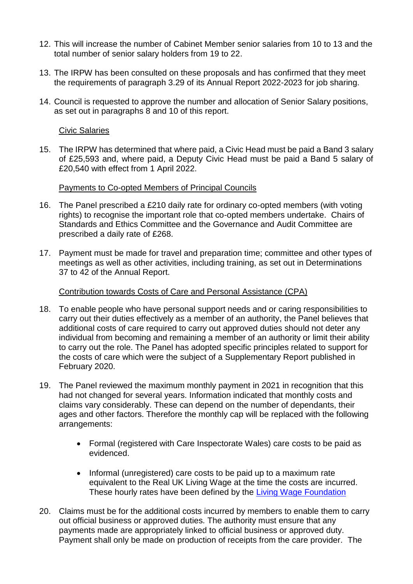- 12. This will increase the number of Cabinet Member senior salaries from 10 to 13 and the total number of senior salary holders from 19 to 22.
- 13. The IRPW has been consulted on these proposals and has confirmed that they meet the requirements of paragraph 3.29 of its Annual Report 2022-2023 for job sharing.
- 14. Council is requested to approve the number and allocation of Senior Salary positions, as set out in paragraphs 8 and 10 of this report.

#### Civic Salaries

15. The IRPW has determined that where paid, a Civic Head must be paid a Band 3 salary of £25,593 and, where paid, a Deputy Civic Head must be paid a Band 5 salary of £20,540 with effect from 1 April 2022.

#### Payments to Co-opted Members of Principal Councils

- 16. The Panel prescribed a £210 daily rate for ordinary co-opted members (with voting rights) to recognise the important role that co-opted members undertake. Chairs of Standards and Ethics Committee and the Governance and Audit Committee are prescribed a daily rate of £268.
- 17. Payment must be made for travel and preparation time; committee and other types of meetings as well as other activities, including training, as set out in Determinations 37 to 42 of the Annual Report.

#### Contribution towards Costs of Care and Personal Assistance (CPA)

- 18. To enable people who have personal support needs and or caring responsibilities to carry out their duties effectively as a member of an authority, the Panel believes that additional costs of care required to carry out approved duties should not deter any individual from becoming and remaining a member of an authority or limit their ability to carry out the role. The Panel has adopted specific principles related to support for the costs of care which were the subject of a Supplementary Report published in February 2020.
- 19. The Panel reviewed the maximum monthly payment in 2021 in recognition that this had not changed for several years. Information indicated that monthly costs and claims vary considerably. These can depend on the number of dependants, their ages and other factors. Therefore the monthly cap will be replaced with the following arrangements:
	- Formal (registered with Care Inspectorate Wales) care costs to be paid as evidenced.
	- Informal (unregistered) care costs to be paid up to a maximum rate equivalent to the Real UK Living Wage at the time the costs are incurred. These hourly rates have been defined by the [Living Wage Foundation](https://www.livingwage.org.uk/what-real-living-wage)
- 20. Claims must be for the additional costs incurred by members to enable them to carry out official business or approved duties. The authority must ensure that any payments made are appropriately linked to official business or approved duty. Payment shall only be made on production of receipts from the care provider. The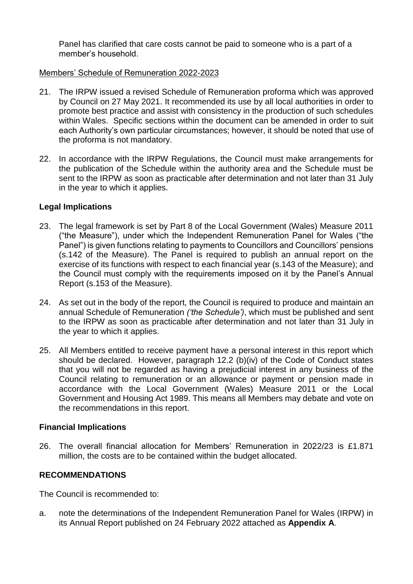Panel has clarified that care costs cannot be paid to someone who is a part of a member's household.

#### Members' Schedule of Remuneration 2022-2023

- 21. The IRPW issued a revised Schedule of Remuneration proforma which was approved by Council on 27 May 2021. It recommended its use by all local authorities in order to promote best practice and assist with consistency in the production of such schedules within Wales. Specific sections within the document can be amended in order to suit each Authority's own particular circumstances; however, it should be noted that use of the proforma is not mandatory.
- 22. In accordance with the IRPW Regulations, the Council must make arrangements for the publication of the Schedule within the authority area and the Schedule must be sent to the IRPW as soon as practicable after determination and not later than 31 July in the year to which it applies.

## **Legal Implications**

- 23. The legal framework is set by Part 8 of the Local Government (Wales) Measure 2011 ("the Measure"), under which the Independent Remuneration Panel for Wales ("the Panel") is given functions relating to payments to Councillors and Councillors' pensions (s.142 of the Measure). The Panel is required to publish an annual report on the exercise of its functions with respect to each financial year (s.143 of the Measure); and the Council must comply with the requirements imposed on it by the Panel's Annual Report (s.153 of the Measure).
- 24. As set out in the body of the report, the Council is required to produce and maintain an annual Schedule of Remuneration *('the Schedule')*, which must be published and sent to the IRPW as soon as practicable after determination and not later than 31 July in the year to which it applies.
- 25. All Members entitled to receive payment have a personal interest in this report which should be declared. However, paragraph 12.2 (b)(iv) of the Code of Conduct states that you will not be regarded as having a prejudicial interest in any business of the Council relating to remuneration or an allowance or payment or pension made in accordance with the Local Government (Wales) Measure 2011 or the Local Government and Housing Act 1989. This means all Members may debate and vote on the recommendations in this report.

#### **Financial Implications**

26. The overall financial allocation for Members' Remuneration in 2022/23 is £1.871 million, the costs are to be contained within the budget allocated.

## **RECOMMENDATIONS**

The Council is recommended to:

a. note the determinations of the Independent Remuneration Panel for Wales (IRPW) in its Annual Report published on 24 February 2022 attached as **Appendix A**.